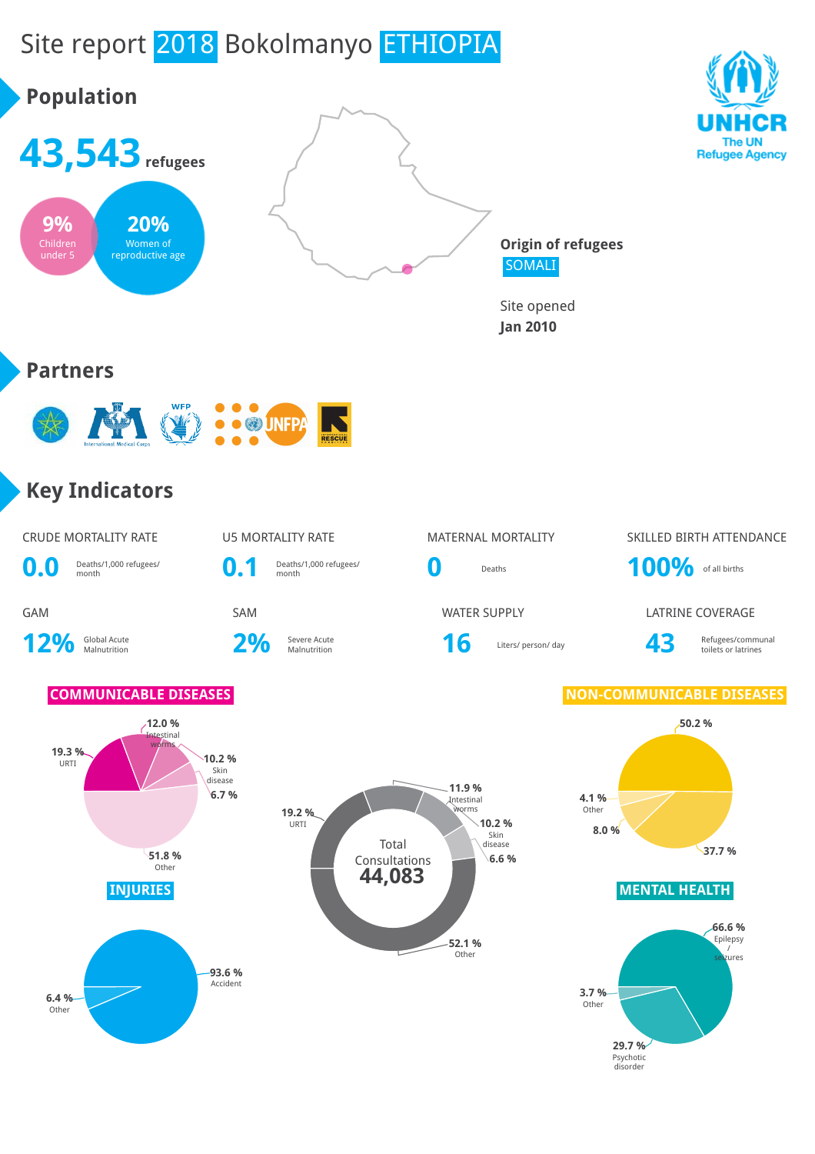# Site report 2018 Bokolmanyo ETHIOPIA

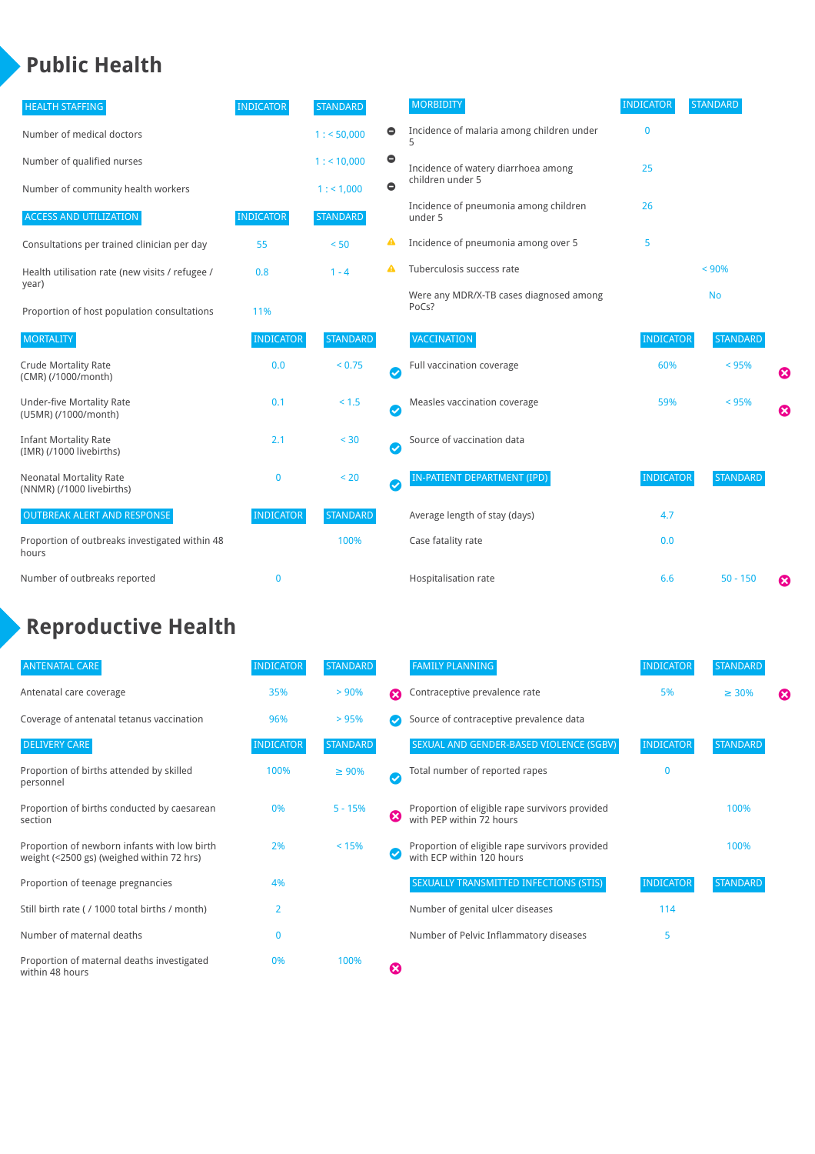### **Public Health**

| <b>HEALTH STAFFING</b>                                      | <b>INDICATOR</b> | <b>STANDARD</b> |           | <b>MORBIDITY</b>                                 | <b>INDICATOR</b> | <b>STANDARD</b> |   |
|-------------------------------------------------------------|------------------|-----------------|-----------|--------------------------------------------------|------------------|-----------------|---|
| Number of medical doctors                                   |                  | 1: 50,000       | $\bullet$ | Incidence of malaria among children under        | $\bf{0}$         |                 |   |
| Number of qualified nurses                                  |                  | $1:$ < 10,000   | $\bullet$ | Incidence of watery diarrhoea among              | 25               |                 |   |
| Number of community health workers                          |                  | 1:1,000         | $\bullet$ | children under 5                                 |                  |                 |   |
| <b>ACCESS AND UTILIZATION</b>                               | <b>INDICATOR</b> | <b>STANDARD</b> |           | Incidence of pneumonia among children<br>under 5 | 26               |                 |   |
| Consultations per trained clinician per day                 | 55               | < 50            | ▲         | Incidence of pneumonia among over 5              | 5                |                 |   |
| Health utilisation rate (new visits / refugee /             | 0.8              | $1 - 4$         |           | Tuberculosis success rate                        |                  | < 90%           |   |
| year)<br>Proportion of host population consultations        | 11%              |                 |           | Were any MDR/X-TB cases diagnosed among<br>PoCs? |                  | <b>No</b>       |   |
| <b>MORTALITY</b>                                            | <b>INDICATOR</b> | <b>STANDARD</b> |           | <b>VACCINATION</b>                               | <b>INDICATOR</b> | <b>STANDARD</b> |   |
| <b>Crude Mortality Rate</b><br>(CMR) (/1000/month)          | 0.0              | < 0.75          | Ø         | Full vaccination coverage                        | 60%              | < 95%           | € |
| <b>Under-five Mortality Rate</b><br>(U5MR) (/1000/month)    | 0.1              | < 1.5           | Ø         | Measles vaccination coverage                     | 59%              | < 95%           | Ø |
| <b>Infant Mortality Rate</b><br>(IMR) (/1000 livebirths)    | 2.1              | < 30            | Ø         | Source of vaccination data                       |                  |                 |   |
| <b>Neonatal Mortality Rate</b><br>(NNMR) (/1000 livebirths) | 0                | < 20            | Ø         | IN-PATIENT DEPARTMENT (IPD)                      | <b>INDICATOR</b> | <b>STANDARD</b> |   |
| <b>OUTBREAK ALERT AND RESPONSE</b>                          | <b>INDICATOR</b> | <b>STANDARD</b> |           | Average length of stay (days)                    | 4.7              |                 |   |
| Proportion of outbreaks investigated within 48<br>hours     |                  | 100%            |           | Case fatality rate                               | 0.0              |                 |   |
| Number of outbreaks reported                                | $\mathbf 0$      |                 |           | Hospitalisation rate                             | 6.6              | $50 - 150$      | ೞ |

## **Reproductive Health**

| <b>ANTENATAL CARE</b>                                                                     | <b>INDICATOR</b> | <b>STANDARD</b> |   | <b>FAMILY PLANNING</b>                                                      | <b>INDICATOR</b> | <b>STANDARD</b> |   |
|-------------------------------------------------------------------------------------------|------------------|-----------------|---|-----------------------------------------------------------------------------|------------------|-----------------|---|
| Antenatal care coverage                                                                   | 35%              | > 90%           | ☎ | Contraceptive prevalence rate                                               | 5%               | $\geq 30\%$     | ⊠ |
| Coverage of antenatal tetanus vaccination                                                 | 96%              | >95%            |   | Source of contraceptive prevalence data                                     |                  |                 |   |
| <b>DELIVERY CARE</b>                                                                      | <b>INDICATOR</b> | <b>STANDARD</b> |   | SEXUAL AND GENDER-BASED VIOLENCE (SGBV)                                     | <b>INDICATOR</b> | <b>STANDARD</b> |   |
| Proportion of births attended by skilled<br>personnel                                     | 100%             | $\geq 90\%$     | Ø | Total number of reported rapes                                              | O                |                 |   |
| Proportion of births conducted by caesarean<br>section                                    | 0%               | $5 - 15%$       | ೞ | Proportion of eligible rape survivors provided<br>with PEP within 72 hours  |                  | 100%            |   |
| Proportion of newborn infants with low birth<br>weight (<2500 gs) (weighed within 72 hrs) | 2%               | < 15%           |   | Proportion of eligible rape survivors provided<br>with ECP within 120 hours |                  | 100%            |   |
| Proportion of teenage pregnancies                                                         | 4%               |                 |   | SEXUALLY TRANSMITTED INFECTIONS (STIS)                                      | <b>INDICATOR</b> | <b>STANDARD</b> |   |
| Still birth rate (/1000 total births / month)                                             | $\overline{2}$   |                 |   | Number of genital ulcer diseases                                            | 114              |                 |   |
| Number of maternal deaths                                                                 | 0                |                 |   | Number of Pelvic Inflammatory diseases                                      | 5                |                 |   |
| Proportion of maternal deaths investigated<br>within 48 hours                             | 0%               | 100%            | ظ |                                                                             |                  |                 |   |